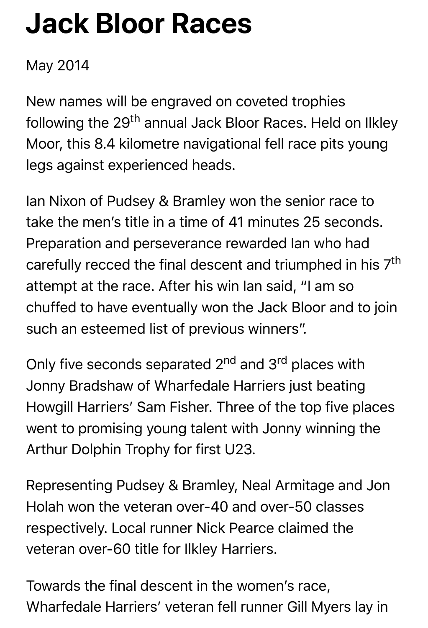## **Jack Bloor Races**

## May 2014

New names will be engraved on coveted trophies following the 29<sup>th</sup> annual Jack Bloor Races. Held on Ilkley Moor, this 8.4 kilometre navigational fell race pits young legs against experienced heads.

Ian Nixon of Pudsey & Bramley won the senior race to take the men's title in a time of 41 minutes 25 seconds. Preparation and perseverance rewarded Ian who had carefully recced the final descent and triumphed in his 7<sup>th</sup> attempt at the race. After his win Ian said, "I am so chuffed to have eventually won the Jack Bloor and to join such an esteemed list of previous winners".

Only five seconds separated 2<sup>nd</sup> and 3<sup>rd</sup> places with Jonny Bradshaw of Wharfedale Harriers just beating Howgill Harriers' Sam Fisher. Three of the top five places went to promising young talent with Jonny winning the Arthur Dolphin Trophy for first U23.

Representing Pudsey & Bramley, Neal Armitage and Jon Holah won the veteran over-40 and over-50 classes respectively. Local runner Nick Pearce claimed the veteran over-60 title for Ilkley Harriers.

Towards the final descent in the women's race, Wharfedale Harriers' veteran fell runner Gill Myers lay in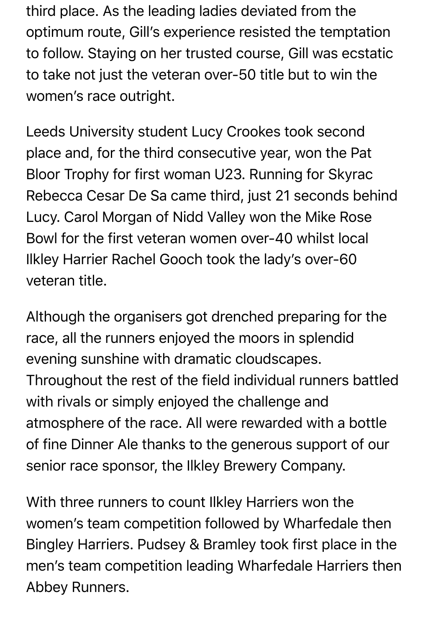third place. As the leading ladies deviated from the optimum route, Gill's experience resisted the temptation to follow. Staying on her trusted course, Gill was ecstatic to take not just the veteran over-50 title but to win the women's race outright.

Leeds University student Lucy Crookes took second place and, for the third consecutive year, won the Pat Bloor Trophy for first woman U23. Running for Skyrac Rebecca Cesar De Sa came third, just 21 seconds behind Lucy. Carol Morgan of Nidd Valley won the Mike Rose Bowl for the first veteran women over-40 whilst local Ilkley Harrier Rachel Gooch took the lady's over-60 veteran title.

Although the organisers got drenched preparing for the race, all the runners enjoyed the moors in splendid evening sunshine with dramatic cloudscapes. Throughout the rest of the field individual runners battled with rivals or simply enjoyed the challenge and atmosphere of the race. All were rewarded with a bottle of fine Dinner Ale thanks to the generous support of our senior race sponsor, the Ilkley Brewery Company.

With three runners to count Ilkley Harriers won the women's team competition followed by Wharfedale then Bingley Harriers. Pudsey & Bramley took first place in the men's team competition leading Wharfedale Harriers then Abbey Runners.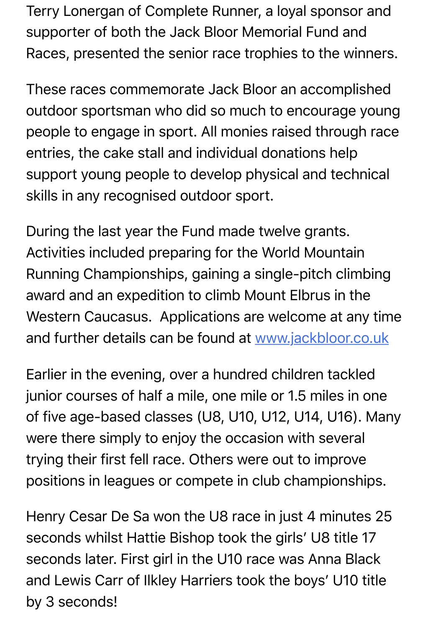supporter of both the Jack Bloor Memorial Fund and Races, presented the senior race trophies to the winners.

These races commemorate Jack Bloor an accomplished outdoor sportsman who did so much to encourage young people to engage in sport. All monies raised through race entries, the cake stall and individual donations help support young people to develop physical and technical skills in any recognised outdoor sport.

During the last year the Fund made twelve grants. Activities included preparing for the World Mountain Running Championships, gaining a single-pitch climbing award and an expedition to climb Mount Elbrus in the Western Caucasus. Applications are welcome at any time and further details can be found at www.jackbloor.co.uk

Earlier in the evening, over a hundr[ed children tackled](http://www.jackbloor.co.uk/) junior courses of half a mile, one mile or 1.5 miles in one of five age-based classes (U8, U10, U12, U14, U16). Many were there simply to enjoy the occasion with several trying their first fell race. Others were out to improve positions in leagues or compete in club championships.

Henry Cesar De Sa won the U8 race in just 4 minutes 25 seconds whilst Hattie Bishop took the girls' U8 title 17 seconds later. First girl in the U10 race was Anna Black and Lewis Carr of Ilkley Harriers took the boys' U10 title by 3 seconds!